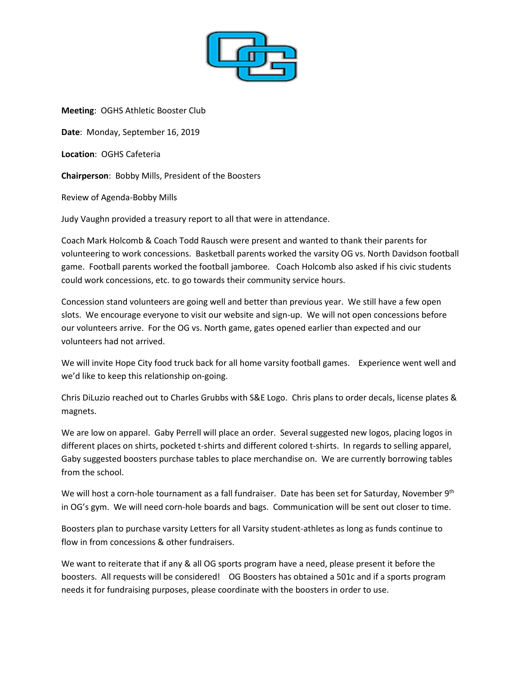

**Meeting**: OGHS Athletic Booster Club **Date**: Monday, September 16, 2019 **Location**: OGHS Cafeteria **Chairperson**: Bobby Mills, President of the Boosters Review of Agenda-Bobby Mills

Judy Vaughn provided a treasury report to all that were in attendance.

Coach Mark Holcomb & Coach Todd Rausch were present and wanted to thank their parents for volunteering to work concessions. Basketball parents worked the varsity OG vs. North Davidson football game. Football parents worked the football jamboree. Coach Holcomb also asked if his civic students could work concessions, etc. to go towards their community service hours.

Concession stand volunteers are going well and better than previous year. We still have a few open slots. We encourage everyone to visit our website and sign-up. We will not open concessions before our volunteers arrive. For the OG vs. North game, gates opened earlier than expected and our volunteers had not arrived.

We will invite Hope City food truck back for all home varsity football games. Experience went well and we'd like to keep this relationship on-going.

Chris DiLuzio reached out to Charles Grubbs with S&E Logo. Chris plans to order decals, license plates & magnets.

We are low on apparel. Gaby Perrell will place an order. Several suggested new logos, placing logos in different places on shirts, pocketed t-shirts and different colored t-shirts. In regards to selling apparel, Gaby suggested boosters purchase tables to place merchandise on. We are currently borrowing tables from the school.

We will host a corn-hole tournament as a fall fundraiser. Date has been set for Saturday, November 9<sup>th</sup> in OG's gym. We will need corn-hole boards and bags. Communication will be sent out closer to time.

Boosters plan to purchase varsity Letters for all Varsity student-athletes as long as funds continue to flow in from concessions & other fundraisers.

We want to reiterate that if any & all OG sports program have a need, please present it before the boosters. All requests will be considered! OG Boosters has obtained a 501c and if a sports program needs it for fundraising purposes, please coordinate with the boosters in order to use.